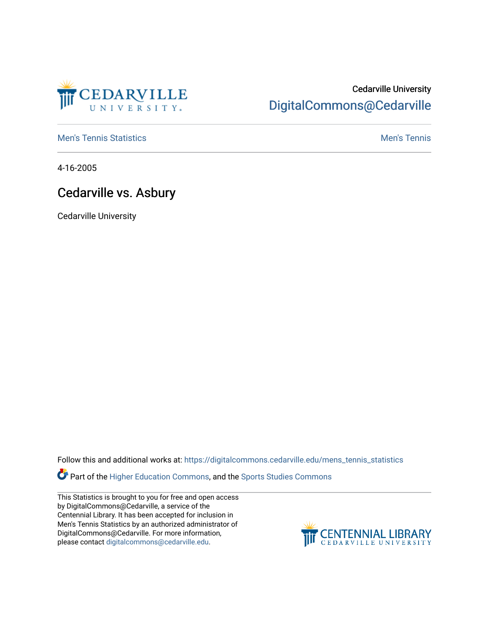

## Cedarville University [DigitalCommons@Cedarville](https://digitalcommons.cedarville.edu/)

**[Men's Tennis Statistics](https://digitalcommons.cedarville.edu/mens_tennis_statistics) Mental According to the Control of Control According Mental Men's Tennis** 

4-16-2005

## Cedarville vs. Asbury

Cedarville University

Follow this and additional works at: [https://digitalcommons.cedarville.edu/mens\\_tennis\\_statistics](https://digitalcommons.cedarville.edu/mens_tennis_statistics?utm_source=digitalcommons.cedarville.edu%2Fmens_tennis_statistics%2F600&utm_medium=PDF&utm_campaign=PDFCoverPages)

Part of the [Higher Education Commons,](http://network.bepress.com/hgg/discipline/1245?utm_source=digitalcommons.cedarville.edu%2Fmens_tennis_statistics%2F600&utm_medium=PDF&utm_campaign=PDFCoverPages) and the [Sports Studies Commons](http://network.bepress.com/hgg/discipline/1198?utm_source=digitalcommons.cedarville.edu%2Fmens_tennis_statistics%2F600&utm_medium=PDF&utm_campaign=PDFCoverPages) 

This Statistics is brought to you for free and open access by DigitalCommons@Cedarville, a service of the Centennial Library. It has been accepted for inclusion in Men's Tennis Statistics by an authorized administrator of DigitalCommons@Cedarville. For more information, please contact [digitalcommons@cedarville.edu](mailto:digitalcommons@cedarville.edu).